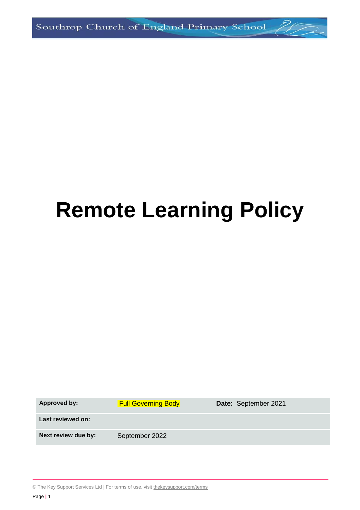# **Remote Learning Policy**

Approved by: Full Governing Body **Date:** September 2021 **Last reviewed on:** Next review due by: September 2022

© The Key Support Services Ltd | For terms of use, visit [thekeysupport.com/terms](https://thekeysupport.com/terms-of-use)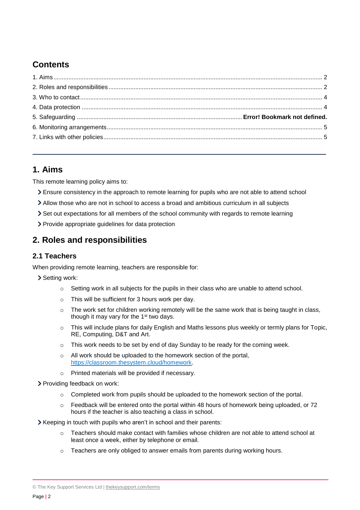# **Contents**

# <span id="page-1-0"></span>**1. Aims**

This remote learning policy aims to:

- Ensure consistency in the approach to remote learning for pupils who are not able to attend school
- Allow those who are not in school to access a broad and ambitious curriculum in all subjects
- Set out expectations for all members of the school community with regards to remote learning
- Provide appropriate guidelines for data protection

# <span id="page-1-1"></span>**2. Roles and responsibilities**

#### **2.1 Teachers**

When providing remote learning, teachers are responsible for:

- > Setting work:
	- $\circ$  Setting work in all subjects for the pupils in their class who are unable to attend school.
	- o This will be sufficient for 3 hours work per day.
	- $\circ$  The work set for children working remotely will be the same work that is being taught in class, though it may vary for the 1<sup>st</sup> two days.
	- o This will include plans for daily English and Maths lessons plus weekly or termly plans for Topic, RE, Computing, D&T and Art.
	- $\circ$  This work needs to be set by end of day Sunday to be ready for the coming week.
	- $\circ$  All work should be uploaded to the homework section of the portal. [https://classroom.thesystem.cloud/homework.](https://classroom.thesystem.cloud/homework)
	- o Printed materials will be provided if necessary.
- Providing feedback on work:
	- $\circ$  Completed work from pupils should be uploaded to the homework section of the portal.
	- $\circ$  Feedback will be entered onto the portal within 48 hours of homework being uploaded, or 72 hours if the teacher is also teaching a class in school.
- Xeeping in touch with pupils who aren't in school and their parents:
	- $\circ$  Teachers should make contact with families whose children are not able to attend school at least once a week, either by telephone or email.
	- $\circ$  Teachers are only obliged to answer emails from parents during working hours.

<sup>©</sup> The Key Support Services Ltd | [thekeysupport.com/terms](https://thekeysupport.com/terms-of-use)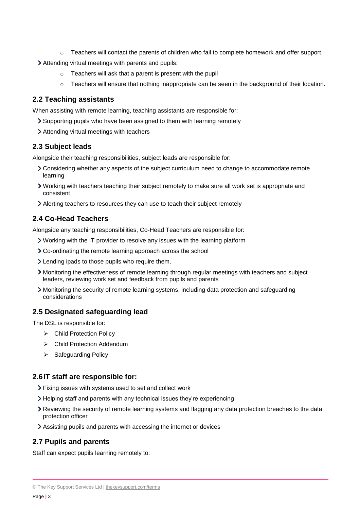$\circ$  Teachers will contact the parents of children who fail to complete homework and offer support.

Attending virtual meetings with parents and pupils:

- o Teachers will ask that a parent is present with the pupil
- $\circ$  Teachers will ensure that nothing inappropriate can be seen in the background of their location.

#### **2.2 Teaching assistants**

When assisting with remote learning, teaching assistants are responsible for:

- Supporting pupils who have been assigned to them with learning remotely
- Attending virtual meetings with teachers

#### **2.3 Subject leads**

Alongside their teaching responsibilities, subject leads are responsible for:

- Considering whether any aspects of the subject curriculum need to change to accommodate remote learning
- Working with teachers teaching their subject remotely to make sure all work set is appropriate and consistent
- Alerting teachers to resources they can use to teach their subject remotely

#### **2.4 Co-Head Teachers**

Alongside any teaching responsibilities, Co-Head Teachers are responsible for:

- Working with the IT provider to resolve any issues with the learning platform
- Co-ordinating the remote learning approach across the school
- Lending ipads to those pupils who require them.
- Monitoring the effectiveness of remote learning through regular meetings with teachers and subject leaders, reviewing work set and feedback from pupils and parents
- Monitoring the security of remote learning systems, including data protection and safeguarding considerations

#### **2.5 Designated safeguarding lead**

The DSL is responsible for:

- Child Protection Policy
- Child Protection Addendum
- $\triangleright$  Safeguarding Policy

#### **2.6IT staff are responsible for:**

- Fixing issues with systems used to set and collect work
- Helping staff and parents with any technical issues they're experiencing
- Reviewing the security of remote learning systems and flagging any data protection breaches to the data protection officer
- Assisting pupils and parents with accessing the internet or devices

#### **2.7 Pupils and parents**

Staff can expect pupils learning remotely to:

<sup>©</sup> The Key Support Services Ltd | [thekeysupport.com/terms](https://thekeysupport.com/terms-of-use)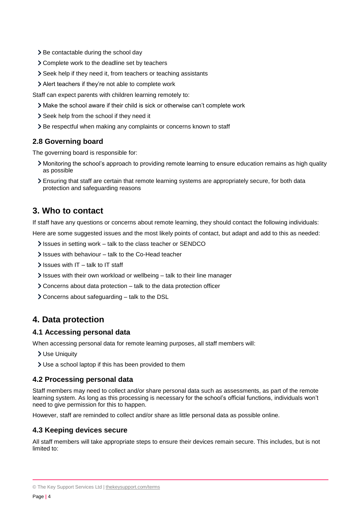- > Be contactable during the school day
- Complete work to the deadline set by teachers
- Seek help if they need it, from teachers or teaching assistants
- Alert teachers if they're not able to complete work

Staff can expect parents with children learning remotely to:

- Make the school aware if their child is sick or otherwise can't complete work
- > Seek help from the school if they need it
- > Be respectful when making any complaints or concerns known to staff

#### **2.8 Governing board**

The governing board is responsible for:

- Monitoring the school's approach to providing remote learning to ensure education remains as high quality as possible
- Ensuring that staff are certain that remote learning systems are appropriately secure, for both data protection and safeguarding reasons

### <span id="page-3-0"></span>**3. Who to contact**

If staff have any questions or concerns about remote learning, they should contact the following individuals:

Here are some suggested issues and the most likely points of contact, but adapt and add to this as needed:

- If Issues in setting work talk to the class teacher or SENDCO
- $\ge$  Issues with behaviour talk to the Co-Head teacher
- $\ge$  Issues with IT talk to IT staff
- Issues with their own workload or wellbeing talk to their line manager
- Concerns about data protection talk to the data protection officer
- Concerns about safeguarding talk to the DSL

## <span id="page-3-1"></span>**4. Data protection**

#### **4.1 Accessing personal data**

When accessing personal data for remote learning purposes, all staff members will:

Use Uniquity

Use a school laptop if this has been provided to them

#### **4.2 Processing personal data**

Staff members may need to collect and/or share personal data such as assessments, as part of the remote learning system. As long as this processing is necessary for the school's official functions, individuals won't need to give permission for this to happen.

However, staff are reminded to collect and/or share as little personal data as possible online.

#### **4.3 Keeping devices secure**

All staff members will take appropriate steps to ensure their devices remain secure. This includes, but is not limited to:

<sup>©</sup> The Key Support Services Ltd | [thekeysupport.com/terms](https://thekeysupport.com/terms-of-use)